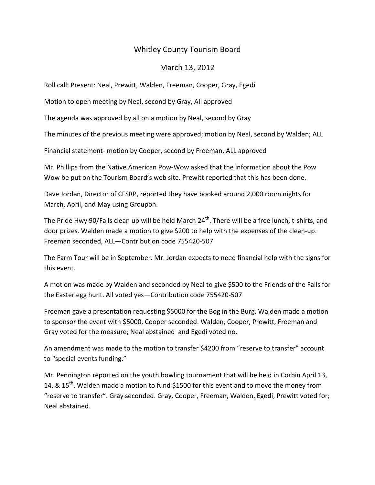## Whitley County Tourism Board

## March 13, 2012

Roll call: Present: Neal, Prewitt, Walden, Freeman, Cooper, Gray, Egedi

Motion to open meeting by Neal, second by Gray, All approved

The agenda was approved by all on a motion by Neal, second by Gray

The minutes of the previous meeting were approved; motion by Neal, second by Walden; ALL

Financial statement- motion by Cooper, second by Freeman, ALL approved

Mr. Phillips from the Native American Pow-Wow asked that the information about the Pow Wow be put on the Tourism Board's web site. Prewitt reported that this has been done.

Dave Jordan, Director of CFSRP, reported they have booked around 2,000 room nights for March, April, and May using Groupon.

The Pride Hwy 90/Falls clean up will be held March 24<sup>th</sup>. There will be a free lunch, t-shirts, and door prizes. Walden made a motion to give \$200 to help with the expenses of the clean-up. Freeman seconded, ALL—Contribution code 755420-507

The Farm Tour will be in September. Mr. Jordan expects to need financial help with the signs for this event.

A motion was made by Walden and seconded by Neal to give \$500 to the Friends of the Falls for the Easter egg hunt. All voted yes—Contribution code 755420-507

Freeman gave a presentation requesting \$5000 for the Bog in the Burg. Walden made a motion to sponsor the event with \$5000, Cooper seconded. Walden, Cooper, Prewitt, Freeman and Gray voted for the measure; Neal abstained and Egedi voted no.

An amendment was made to the motion to transfer \$4200 from "reserve to transfer" account to "special events funding."

Mr. Pennington reported on the youth bowling tournament that will be held in Corbin April 13, 14, & 15<sup>th</sup>. Walden made a motion to fund \$1500 for this event and to move the money from "reserve to transfer". Gray seconded. Gray, Cooper, Freeman, Walden, Egedi, Prewitt voted for; Neal abstained.